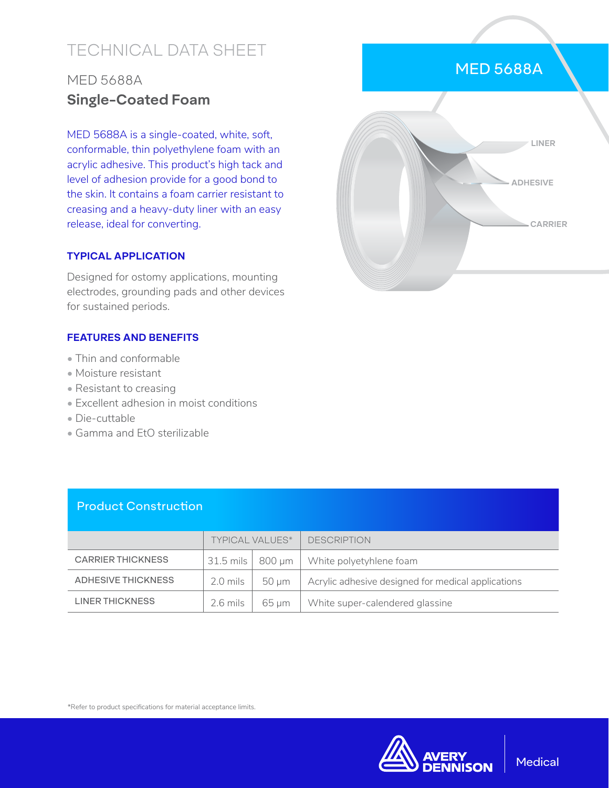# TECHNICAL DATA SHEET

## MED 5688A **Single-Coated Foam**

MED 5688A is a single-coated, white, soft, conformable, thin polyethylene foam with an acrylic adhesive. This product's high tack and level of adhesion provide for a good bond to the skin. It contains a foam carrier resistant to creasing and a heavy-duty liner with an easy release, ideal for converting.

#### **TYPICAL APPLICATION**

Designed for ostomy applications, mounting electrodes, grounding pads and other devices for sustained periods.

#### **FEATURES AND BENEFITS**

- Thin and conformable
- Moisture resistant
- Resistant to creasing
- Excellent adhesion in moist conditions
- Die-cuttable
- Gamma and EtO sterilizable

#### Product Construction

|                          | <b>TYPICAL VALUES*</b> |          | <b>DESCRIPTION</b>                                 |
|--------------------------|------------------------|----------|----------------------------------------------------|
| <b>CARRIER THICKNESS</b> | $31.5$ mils            | 800 um 1 | White polyetyhlene foam                            |
| ADHESIVE THICKNESS       | 2.0 mils               | 50 um    | Acrylic adhesive designed for medical applications |
| LINER THICKNESS          | $2.6$ mils             | 65 um    | White super-calendered glassine                    |

\*Refer to product specifications for material acceptance limits.



### MED 5688A